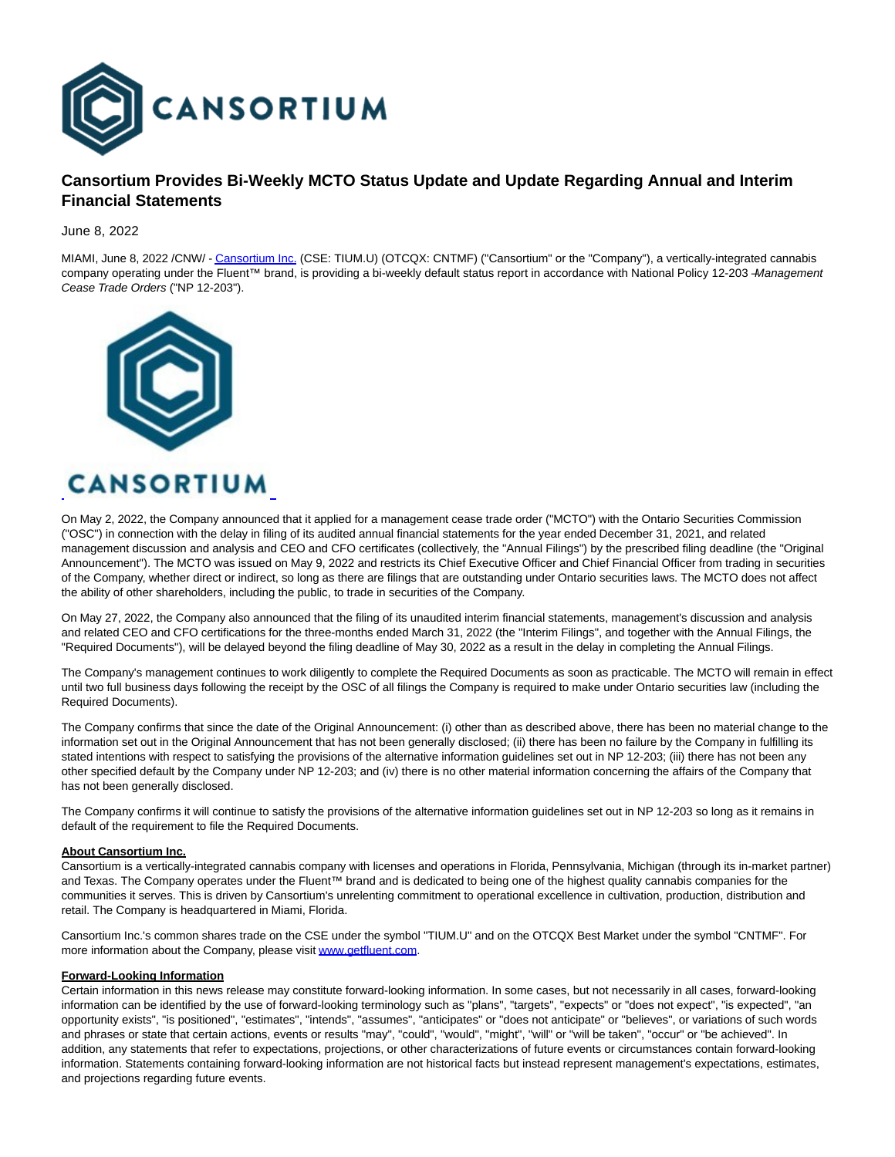

## **Cansortium Provides Bi-Weekly MCTO Status Update and Update Regarding Annual and Interim Financial Statements**

June 8, 2022

MIAMI, June 8, 2022 /CNW/ [- Cansortium Inc. \(](https://c212.net/c/link/?t=0&l=en&o=3562178-1&h=1432356164&u=http%3A%2F%2Fwww.getfluent.com%2F&a=Cansortium+Inc.)CSE: TIUM.U) (OTCQX: CNTMF) ("Cansortium" or the "Company"), a vertically-integrated cannabis company operating under the Fluent™ brand, is providing a bi-weekly default status report in accordance with National Policy 12-203 -Management Cease Trade Orders ("NP 12-203").



# **CANSORTIUM**

On May 2, 2022, the Company announced that it applied for a management cease trade order ("MCTO") with the Ontario Securities Commission ("OSC") in connection with the delay in filing of its audited annual financial statements for the year ended December 31, 2021, and related management discussion and analysis and CEO and CFO certificates (collectively, the "Annual Filings") by the prescribed filing deadline (the "Original Announcement"). The MCTO was issued on May 9, 2022 and restricts its Chief Executive Officer and Chief Financial Officer from trading in securities of the Company, whether direct or indirect, so long as there are filings that are outstanding under Ontario securities laws. The MCTO does not affect the ability of other shareholders, including the public, to trade in securities of the Company.

On May 27, 2022, the Company also announced that the filing of its unaudited interim financial statements, management's discussion and analysis and related CEO and CFO certifications for the three-months ended March 31, 2022 (the "Interim Filings", and together with the Annual Filings, the "Required Documents"), will be delayed beyond the filing deadline of May 30, 2022 as a result in the delay in completing the Annual Filings.

The Company's management continues to work diligently to complete the Required Documents as soon as practicable. The MCTO will remain in effect until two full business days following the receipt by the OSC of all filings the Company is required to make under Ontario securities law (including the Required Documents).

The Company confirms that since the date of the Original Announcement: (i) other than as described above, there has been no material change to the information set out in the Original Announcement that has not been generally disclosed; (ii) there has been no failure by the Company in fulfilling its stated intentions with respect to satisfying the provisions of the alternative information guidelines set out in NP 12-203; (iii) there has not been any other specified default by the Company under NP 12-203; and (iv) there is no other material information concerning the affairs of the Company that has not been generally disclosed.

The Company confirms it will continue to satisfy the provisions of the alternative information guidelines set out in NP 12-203 so long as it remains in default of the requirement to file the Required Documents.

#### **About Cansortium Inc.**

Cansortium is a vertically-integrated cannabis company with licenses and operations in Florida, Pennsylvania, Michigan (through its in-market partner) and Texas. The Company operates under the Fluent™ brand and is dedicated to being one of the highest quality cannabis companies for the communities it serves. This is driven by Cansortium's unrelenting commitment to operational excellence in cultivation, production, distribution and retail. The Company is headquartered in Miami, Florida.

Cansortium Inc.'s common shares trade on the CSE under the symbol "TIUM.U" and on the OTCQX Best Market under the symbol "CNTMF". For more information about the Company, please visi[t www.getfluent.com.](https://c212.net/c/link/?t=0&l=en&o=3562178-1&h=760872926&u=http%3A%2F%2Fwww.getfluent.com%2F&a=www.getfluent.com)

#### **Forward-Looking Information**

Certain information in this news release may constitute forward-looking information. In some cases, but not necessarily in all cases, forward-looking information can be identified by the use of forward-looking terminology such as "plans", "targets", "expects" or "does not expect", "is expected", "an opportunity exists", "is positioned", "estimates", "intends", "assumes", "anticipates" or "does not anticipate" or "believes", or variations of such words and phrases or state that certain actions, events or results "may", "could", "would", "might", "will" or "will be taken", "occur" or "be achieved". In addition, any statements that refer to expectations, projections, or other characterizations of future events or circumstances contain forward-looking information. Statements containing forward-looking information are not historical facts but instead represent management's expectations, estimates, and projections regarding future events.